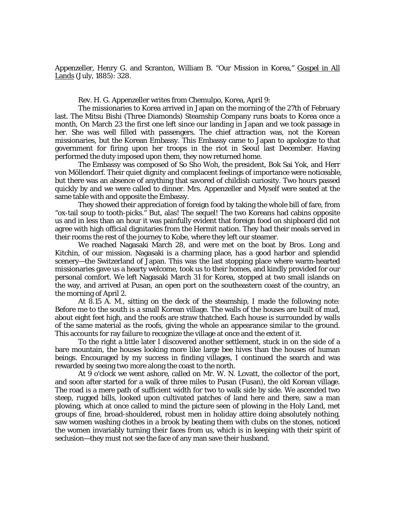Appenzeller, Henry G. and Scranton, William B. "Our Mission in Korea," Gospel in All Lands (July, 1885): 328.

Rev. H. G. Appenzeller writes from Chemulpo, Korea, April 9:

The missionaries to Korea arrived in Japan on the morning of the 27th of February last. The Mitsu Bishi (Three Diamonds) Steamship Company runs boats to Korea once a month, On March 23 the first one left since our landing in Japan and we took passage in her. She was well filled with passengers. The chief attraction was, not the Korean missionaries, but the Korean Embassy. This Embassy came to Japan to apologize to that government for firing upon her troops in the riot in Seoul last December. Having performed the duty imposed upon them, they now returned home.

The Embassy was composed of So Sho Woh, the president, Bok Sai Yok, and Herr von Möllendorf. Their quiet dignity and complacent feelings of importance were noticeable, but there was an absence of anything that savored of childish curiosity. Two hours passed quickly by and we were called to dinner. Mrs. Appenzeller and Myself were seated at the same table with and opposite the Embassy.

They showed their appreciation of foreign food by taking the whole bill of fare, from "ox-tail soup to tooth-picks." But, alas! The sequel! The two Koreans had cabins opposite us and in less than an hour it was painfully evident that foreign food on shipboard did not agree with high official dignitaries from the Hermit nation. They had their meals served in their rooms the rest of the journey to Kobe, where they left our steamer.

We reached Nagasaki March 28, and were met on the boat by Bros. Long and Kitchin, of our mission. Nagasaki is a charming place, has a good harbor and splendid scenery—the Switzerland of Japan. This was the last stopping place where warm-hearted missionaries gave us a hearty welcome, took us to their homes, and kindly provided for our personal comfort. We left Nagasaki March 31 for Korea, stopped at two small islands on the way, and arrived at Pusan, an open port on the southeastern coast of the country, an the morning of April 2.

At 8.15 A. M., sitting on the deck of the steamship, I made the following note: Before me to the south is a small Korean village. The walls of the houses are built of mud, about eight feet high, and the roofs are straw thatched. Each house is surrounded by walls of the same material as the roofs, giving the whole an appearance similar to the ground. This accounts for ray failure to recognize the village at once and the extent of it.

To the right a little later I discovered another settlement, stuck in on the side of a bare mountain, the houses looking more like large bee hives than the houses of human beings. Encouraged by my success in finding villages, I continued the search and was rewarded by seeing two more along the coast to the north.

At 9 o'clock we went ashore, called on Mr. W. N. Lovatt, the collector of the port, and soon after started for a walk of three miles to Pusan (Fusan), the old Korean village. The road is a mere path of sufficient width for two to walk side by side. We ascended two steep, rugged bills, looked upon cultivated patches of land here and there, saw a man plowing, which at once called to mind the picture seen of plowing in the Holy Land, met groups of fine, broad-shouldered, robust men in holiday attire doing absolutely nothing, saw women washing clothes in a brook by beating them with clubs on the stones, noticed the women invariably turning their faces from us, which is in keeping with their spirit of seclusion—they must not see the face of any man save their husband.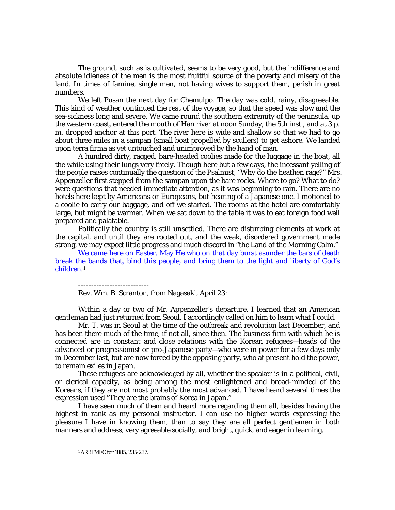The ground, such as is cultivated, seems to be very good, but the indifference and absolute idleness of the men is the most fruitful source of the poverty and misery of the land. In times of famine, single men, not having wives to support them, perish in great numbers.

We left Pusan the next day for Chemulpo. The day was cold, rainy, disagreeable. This kind of weather continued the rest of the voyage, so that the speed was slow and the sea-sickness long and severe. We came round the southern extremity of the peninsula, up the western coast, entered the mouth of Han river at noon Sunday, the 5th inst., and at 3 p. m. dropped anchor at this port. The river here is wide and shallow so that we had to go about three miles in a sampan (small boat propelled by scullers) to get ashore. We landed upon terra firma as yet untouched and unimproved by the hand of man.

A hundred dirty, ragged, bare-headed coolies made for the luggage in the boat, all the while using their lungs very freely. Though here but a few days, the incessant yelling of the people raises continually the question of the Psalmist, "Why do the heathen rage?" Mrs. Appenzeller first stepped from the sampan upon the bare rocks. Where to go? What to do? were questions that needed immediate attention, as it was beginning to rain. There are no hotels here kept by Americans or Europeans, but hearing of a Japanese one. I motioned to a coolie to carry our baggage, and off we started. The rooms at the hotel are comfortably large, but might be warmer. When we sat down to the table it was to eat foreign food well prepared and palatable.

Politically the country is still unsettled. There are disturbing elements at work at the capital, and until they are rooted out, and the weak, disordered government made strong, we may expect little progress and much discord in "the Land of the Morning Calm."

We came here on Easter. May He who on that day burst asunder the bars of death break the bands that, bind this people, and bring them to the light and liberty of God's children.[1](#page-1-0)

Rev. Wm. B. Scranton, from Nagasaki, April 23:

Within a day or two of Mr. Appenzeller's departure, I learned that an American gentleman had just returned from Seoul. I accordingly called on him to learn what I could.

Mr. T. was in Seoul at the time of the outbreak and revolution last December, and has been there much of the time, if not all, since then. The business firm with which he is connected are in constant and close relations with the Korean refugees—heads of the advanced or progressionist or pro-Japanese party—who were in power for a few days only in December last, but are now forced by the opposing party, who at present hold the power, to remain exiles in Japan.

These refugees are acknowledged by all, whether the speaker is in a political, civil, or clerical capacity, as being among the most enlightened and broad-minded of the Koreans, if they are not most probably the most advanced. I have heard several times the expression used "They are the brains of Korea in Japan."

I have seen much of them and heard more regarding them all, besides having the highest in rank as my personal instructor. I can use no higher words expressing the pleasure I have in knowing them, than to say they are all perfect gentlemen in both manners and address, very agreeable socially, and bright, quick, and eager in learning.

<span id="page-1-0"></span>1

<sup>1</sup> *ARBFMEC* for 1885, 235-237.